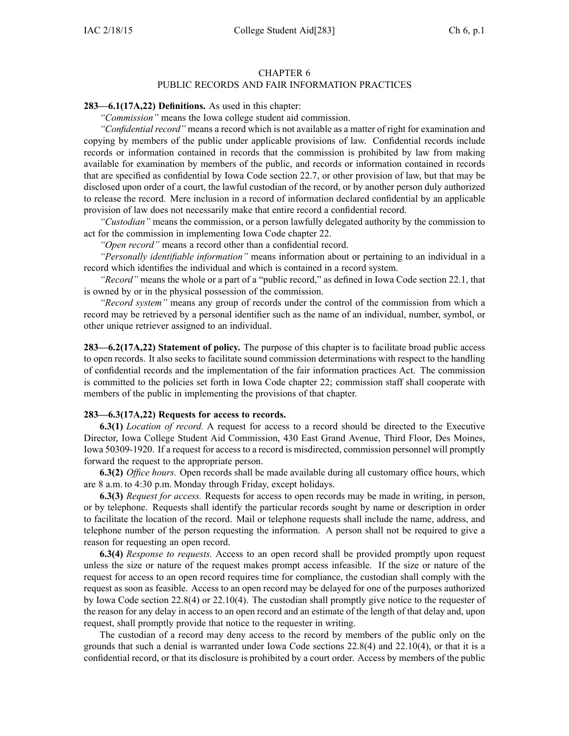## CHAPTER 6 PUBLIC RECORDS AND FAIR INFORMATION PRACTICES

#### **283—6.1(17A,22) Definitions.** As used in this chapter:

*"Commission"* means the Iowa college student aid commission.

*"Confidential record"* means <sup>a</sup> record which is not available as <sup>a</sup> matter of right for examination and copying by members of the public under applicable provisions of law. Confidential records include records or information contained in records that the commission is prohibited by law from making available for examination by members of the public, and records or information contained in records that are specified as confidential by Iowa Code section [22.7](https://www.legis.iowa.gov/docs/ico/section/22.7.pdf), or other provision of law, but that may be disclosed upon order of <sup>a</sup> court, the lawful custodian of the record, or by another person duly authorized to release the record. Mere inclusion in <sup>a</sup> record of information declared confidential by an applicable provision of law does not necessarily make that entire record <sup>a</sup> confidential record.

*"Custodian"* means the commission, or <sup>a</sup> person lawfully delegated authority by the commission to act for the commission in implementing Iowa Code chapter [22](https://www.legis.iowa.gov/docs/ico/chapter/22.pdf).

*"Open record"* means <sup>a</sup> record other than <sup>a</sup> confidential record.

*"Personally identifiable information"* means information about or pertaining to an individual in <sup>a</sup> record which identifies the individual and which is contained in <sup>a</sup> record system.

*"Record"* means the whole or <sup>a</sup> par<sup>t</sup> of <sup>a</sup> "public record," as defined in Iowa Code section [22.1](https://www.legis.iowa.gov/docs/ico/section/22.1.pdf), that is owned by or in the physical possession of the commission.

*"Record system"* means any group of records under the control of the commission from which <sup>a</sup> record may be retrieved by <sup>a</sup> personal identifier such as the name of an individual, number, symbol, or other unique retriever assigned to an individual.

**283—6.2(17A,22) Statement of policy.** The purpose of this chapter is to facilitate broad public access to open records. It also seeks to facilitate sound commission determinations with respec<sup>t</sup> to the handling of confidential records and the implementation of the fair information practices Act. The commission is committed to the policies set forth in Iowa Code chapter [22](https://www.legis.iowa.gov/docs/ico/chapter/22.pdf); commission staff shall cooperate with members of the public in implementing the provisions of that chapter.

#### **283—6.3(17A,22) Requests for access to records.**

**6.3(1)** *Location of record.* A reques<sup>t</sup> for access to <sup>a</sup> record should be directed to the Executive Director, Iowa College Student Aid Commission, 430 East Grand Avenue, Third Floor, Des Moines, Iowa 50309-1920. If <sup>a</sup> reques<sup>t</sup> for access to <sup>a</sup> record is misdirected, commission personnel will promptly forward the reques<sup>t</sup> to the appropriate person.

**6.3(2)** *Office hours.* Open records shall be made available during all customary office hours, which are 8 a.m. to 4:30 p.m. Monday through Friday, excep<sup>t</sup> holidays.

**6.3(3)** *Request for access.* Requests for access to open records may be made in writing, in person, or by telephone. Requests shall identify the particular records sought by name or description in order to facilitate the location of the record. Mail or telephone requests shall include the name, address, and telephone number of the person requesting the information. A person shall not be required to give <sup>a</sup> reason for requesting an open record.

**6.3(4)** *Response to requests.* Access to an open record shall be provided promptly upon reques<sup>t</sup> unless the size or nature of the reques<sup>t</sup> makes promp<sup>t</sup> access infeasible. If the size or nature of the reques<sup>t</sup> for access to an open record requires time for compliance, the custodian shall comply with the reques<sup>t</sup> as soon as feasible. Access to an open record may be delayed for one of the purposes authorized by Iowa Code section [22.8\(4\)](https://www.legis.iowa.gov/docs/ico/section/22.8.pdf) or [22.10\(4\)](https://www.legis.iowa.gov/docs/ico/section/22.10.pdf). The custodian shall promptly give notice to the requester of the reason for any delay in access to an open record and an estimate of the length of that delay and, upon request, shall promptly provide that notice to the requester in writing.

The custodian of <sup>a</sup> record may deny access to the record by members of the public only on the grounds that such <sup>a</sup> denial is warranted under Iowa Code sections [22.8\(4\)](https://www.legis.iowa.gov/docs/ico/section/22.8.pdf) and [22.10\(4\)](https://www.legis.iowa.gov/docs/ico/section/22.10.pdf), or that it is <sup>a</sup> confidential record, or that its disclosure is prohibited by <sup>a</sup> court order. Access by members of the public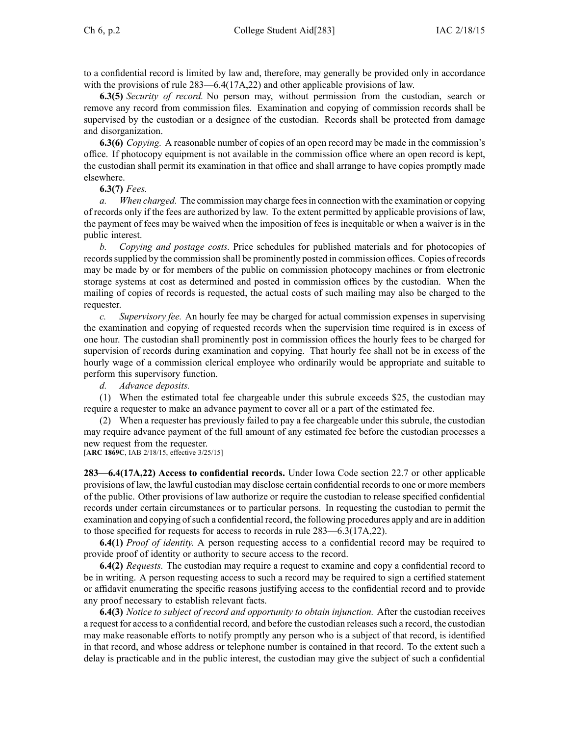to <sup>a</sup> confidential record is limited by law and, therefore, may generally be provided only in accordance with the provisions of rule 283—6.4(17A,22) and other applicable provisions of law.

**6.3(5)** *Security of record.* No person may, without permission from the custodian, search or remove any record from commission files. Examination and copying of commission records shall be supervised by the custodian or <sup>a</sup> designee of the custodian. Records shall be protected from damage and disorganization.

**6.3(6)** *Copying.* A reasonable number of copies of an open record may be made in the commission's office. If photocopy equipment is not available in the commission office where an open record is kept, the custodian shall permit its examination in that office and shall arrange to have copies promptly made elsewhere.

## **6.3(7)** *Fees.*

*a. When charged.* The commission may charge feesin connection with the examination or copying of records only if the fees are authorized by law. To the extent permitted by applicable provisions of law, the paymen<sup>t</sup> of fees may be waived when the imposition of fees is inequitable or when <sup>a</sup> waiver is in the public interest.

*b. Copying and postage costs.* Price schedules for published materials and for photocopies of recordssupplied by the commission shall be prominently posted in commission offices. Copies of records may be made by or for members of the public on commission photocopy machines or from electronic storage systems at cost as determined and posted in commission offices by the custodian. When the mailing of copies of records is requested, the actual costs of such mailing may also be charged to the requester.

*c. Supervisory fee.* An hourly fee may be charged for actual commission expenses in supervising the examination and copying of requested records when the supervision time required is in excess of one hour. The custodian shall prominently pos<sup>t</sup> in commission offices the hourly fees to be charged for supervision of records during examination and copying. That hourly fee shall not be in excess of the hourly wage of <sup>a</sup> commission clerical employee who ordinarily would be appropriate and suitable to perform this supervisory function.

*d. Advance deposits.*

(1) When the estimated total fee chargeable under this subrule exceeds \$25, the custodian may require <sup>a</sup> requester to make an advance paymen<sup>t</sup> to cover all or <sup>a</sup> par<sup>t</sup> of the estimated fee.

(2) When <sup>a</sup> requester has previously failed to pay <sup>a</sup> fee chargeable under this subrule, the custodian may require advance paymen<sup>t</sup> of the full amount of any estimated fee before the custodian processes <sup>a</sup> new reques<sup>t</sup> from the requester.

[**ARC 1869C**, IAB 2/18/15, effective 3/25/15]

**283—6.4(17A,22) Access to confidential records.** Under Iowa Code section [22.7](https://www.legis.iowa.gov/docs/ico/section/22.7.pdf) or other applicable provisions of law, the lawful custodian may disclose certain confidential records to one or more members of the public. Other provisions of law authorize or require the custodian to release specified confidential records under certain circumstances or to particular persons. In requesting the custodian to permit the examination and copying ofsuch <sup>a</sup> confidential record, the following procedures apply and are in addition to those specified for requests for access to records in rule 283—6.3(17A,22).

**6.4(1)** *Proof of identity.* A person requesting access to <sup>a</sup> confidential record may be required to provide proof of identity or authority to secure access to the record.

**6.4(2)** *Requests.* The custodian may require <sup>a</sup> reques<sup>t</sup> to examine and copy <sup>a</sup> confidential record to be in writing. A person requesting access to such <sup>a</sup> record may be required to sign <sup>a</sup> certified statement or affidavit enumerating the specific reasons justifying access to the confidential record and to provide any proof necessary to establish relevant facts.

**6.4(3)** *Notice to subject of record and opportunity to obtain injunction.* After the custodian receives <sup>a</sup> reques<sup>t</sup> for accessto <sup>a</sup> confidential record, and before the custodian releasessuch <sup>a</sup> record, the custodian may make reasonable efforts to notify promptly any person who is <sup>a</sup> subject of that record, is identified in that record, and whose address or telephone number is contained in that record. To the extent such <sup>a</sup> delay is practicable and in the public interest, the custodian may give the subject of such <sup>a</sup> confidential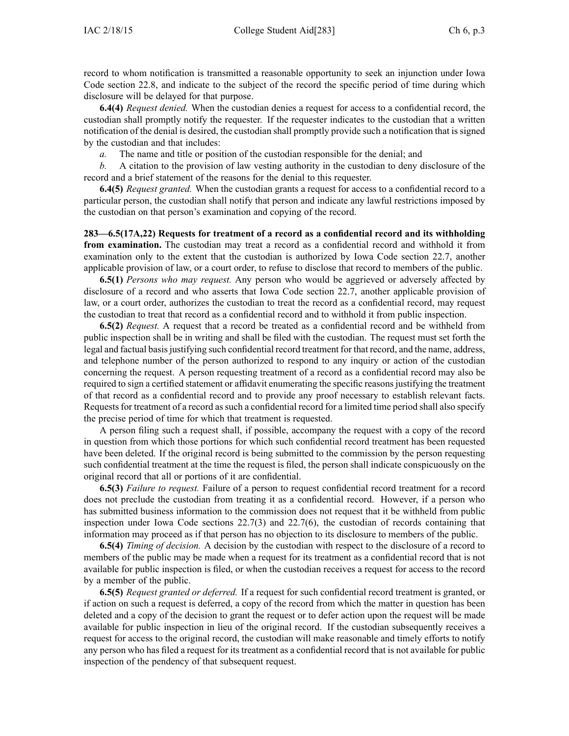record to whom notification is transmitted <sup>a</sup> reasonable opportunity to seek an injunction under Iowa Code section [22.8](https://www.legis.iowa.gov/docs/ico/section/22.8.pdf), and indicate to the subject of the record the specific period of time during which disclosure will be delayed for that purpose.

**6.4(4)** *Request denied.* When the custodian denies <sup>a</sup> reques<sup>t</sup> for access to <sup>a</sup> confidential record, the custodian shall promptly notify the requester. If the requester indicates to the custodian that <sup>a</sup> written notification of the denial is desired, the custodian shall promptly provide such <sup>a</sup> notification that is signed by the custodian and that includes:

*a.* The name and title or position of the custodian responsible for the denial; and

*b.* A citation to the provision of law vesting authority in the custodian to deny disclosure of the record and <sup>a</sup> brief statement of the reasons for the denial to this requester.

**6.4(5)** *Request granted.* When the custodian grants <sup>a</sup> reques<sup>t</sup> for access to <sup>a</sup> confidential record to <sup>a</sup> particular person, the custodian shall notify that person and indicate any lawful restrictions imposed by the custodian on that person's examination and copying of the record.

**283—6.5(17A,22) Requests for treatment of <sup>a</sup> record as <sup>a</sup> confidential record and its withholding from examination.** The custodian may treat <sup>a</sup> record as <sup>a</sup> confidential record and withhold it from examination only to the extent that the custodian is authorized by Iowa Code section [22.7](https://www.legis.iowa.gov/docs/ico/section/22.7.pdf), another applicable provision of law, or <sup>a</sup> court order, to refuse to disclose that record to members of the public.

**6.5(1)** *Persons who may request.* Any person who would be aggrieved or adversely affected by disclosure of <sup>a</sup> record and who asserts that Iowa Code section [22.7](https://www.legis.iowa.gov/docs/ico/section/22.7.pdf), another applicable provision of law, or <sup>a</sup> court order, authorizes the custodian to treat the record as <sup>a</sup> confidential record, may reques<sup>t</sup> the custodian to treat that record as <sup>a</sup> confidential record and to withhold it from public inspection.

**6.5(2)** *Request.* A reques<sup>t</sup> that <sup>a</sup> record be treated as <sup>a</sup> confidential record and be withheld from public inspection shall be in writing and shall be filed with the custodian. The reques<sup>t</sup> must set forth the legal and factual basis justifying such confidential record treatment for that record, and the name, address, and telephone number of the person authorized to respond to any inquiry or action of the custodian concerning the request. A person requesting treatment of <sup>a</sup> record as <sup>a</sup> confidential record may also be required to sign <sup>a</sup> certified statement or affidavit enumerating the specific reasonsjustifying the treatment of that record as <sup>a</sup> confidential record and to provide any proof necessary to establish relevant facts. Requests for treatment of a record as such a confidential record for a limited time period shall also specify the precise period of time for which that treatment is requested.

A person filing such <sup>a</sup> reques<sup>t</sup> shall, if possible, accompany the reques<sup>t</sup> with <sup>a</sup> copy of the record in question from which those portions for which such confidential record treatment has been requested have been deleted. If the original record is being submitted to the commission by the person requesting such confidential treatment at the time the reques<sup>t</sup> is filed, the person shall indicate conspicuously on the original record that all or portions of it are confidential.

**6.5(3)** *Failure to request.* Failure of <sup>a</sup> person to reques<sup>t</sup> confidential record treatment for <sup>a</sup> record does not preclude the custodian from treating it as <sup>a</sup> confidential record. However, if <sup>a</sup> person who has submitted business information to the commission does not reques<sup>t</sup> that it be withheld from public inspection under Iowa Code sections [22.7\(3\)](https://www.legis.iowa.gov/docs/ico/section/22.7.pdf) and [22.7\(6\)](https://www.legis.iowa.gov/docs/ico/section/22.7.pdf), the custodian of records containing that information may proceed as if that person has no objection to its disclosure to members of the public.

**6.5(4)** *Timing of decision.* A decision by the custodian with respec<sup>t</sup> to the disclosure of <sup>a</sup> record to members of the public may be made when <sup>a</sup> reques<sup>t</sup> for its treatment as <sup>a</sup> confidential record that is not available for public inspection is filed, or when the custodian receives <sup>a</sup> reques<sup>t</sup> for access to the record by <sup>a</sup> member of the public.

**6.5(5)** *Request granted or deferred.* If <sup>a</sup> reques<sup>t</sup> for such confidential record treatment is granted, or if action on such <sup>a</sup> reques<sup>t</sup> is deferred, <sup>a</sup> copy of the record from which the matter in question has been deleted and <sup>a</sup> copy of the decision to gran<sup>t</sup> the reques<sup>t</sup> or to defer action upon the reques<sup>t</sup> will be made available for public inspection in lieu of the original record. If the custodian subsequently receives <sup>a</sup> reques<sup>t</sup> for access to the original record, the custodian will make reasonable and timely efforts to notify any person who has filed <sup>a</sup> reques<sup>t</sup> for its treatment as <sup>a</sup> confidential record that is not available for public inspection of the pendency of that subsequent request.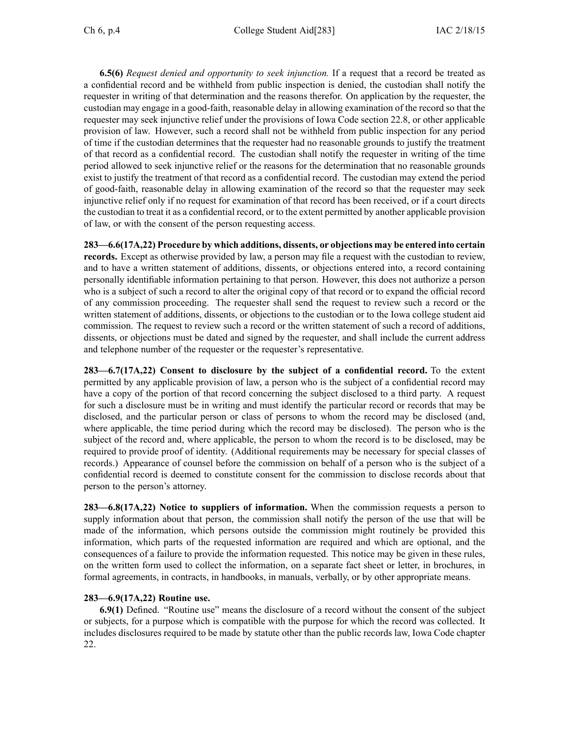**6.5(6)** *Request denied and opportunity to seek injunction.* If <sup>a</sup> reques<sup>t</sup> that <sup>a</sup> record be treated as <sup>a</sup> confidential record and be withheld from public inspection is denied, the custodian shall notify the requester in writing of that determination and the reasons therefor. On application by the requester, the custodian may engage in <sup>a</sup> good-faith, reasonable delay in allowing examination of the record so that the requester may seek injunctive relief under the provisions of Iowa Code section [22.8](https://www.legis.iowa.gov/docs/ico/section/22.8.pdf), or other applicable provision of law. However, such <sup>a</sup> record shall not be withheld from public inspection for any period of time if the custodian determines that the requester had no reasonable grounds to justify the treatment of that record as <sup>a</sup> confidential record. The custodian shall notify the requester in writing of the time period allowed to seek injunctive relief or the reasons for the determination that no reasonable grounds exist to justify the treatment of that record as <sup>a</sup> confidential record. The custodian may extend the period of good-faith, reasonable delay in allowing examination of the record so that the requester may seek injunctive relief only if no reques<sup>t</sup> for examination of that record has been received, or if <sup>a</sup> court directs the custodian to treat it as <sup>a</sup> confidential record, or to the extent permitted by another applicable provision of law, or with the consent of the person requesting access.

**283—6.6(17A,22) Procedure by which additions, dissents, or objections may be entered into certain records.** Except as otherwise provided by law, <sup>a</sup> person may file <sup>a</sup> reques<sup>t</sup> with the custodian to review, and to have <sup>a</sup> written statement of additions, dissents, or objections entered into, <sup>a</sup> record containing personally identifiable information pertaining to that person. However, this does not authorize <sup>a</sup> person who is <sup>a</sup> subject of such <sup>a</sup> record to alter the original copy of that record or to expand the official record of any commission proceeding. The requester shall send the reques<sup>t</sup> to review such <sup>a</sup> record or the written statement of additions, dissents, or objections to the custodian or to the Iowa college student aid commission. The reques<sup>t</sup> to review such <sup>a</sup> record or the written statement of such <sup>a</sup> record of additions, dissents, or objections must be dated and signed by the requester, and shall include the current address and telephone number of the requester or the requester's representative.

**283—6.7(17A,22) Consent to disclosure by the subject of <sup>a</sup> confidential record.** To the extent permitted by any applicable provision of law, <sup>a</sup> person who is the subject of <sup>a</sup> confidential record may have <sup>a</sup> copy of the portion of that record concerning the subject disclosed to <sup>a</sup> third party. A reques<sup>t</sup> for such <sup>a</sup> disclosure must be in writing and must identify the particular record or records that may be disclosed, and the particular person or class of persons to whom the record may be disclosed (and, where applicable, the time period during which the record may be disclosed). The person who is the subject of the record and, where applicable, the person to whom the record is to be disclosed, may be required to provide proof of identity. (Additional requirements may be necessary for special classes of records.) Appearance of counsel before the commission on behalf of <sup>a</sup> person who is the subject of <sup>a</sup> confidential record is deemed to constitute consent for the commission to disclose records about that person to the person's attorney.

**283—6.8(17A,22) Notice to suppliers of information.** When the commission requests <sup>a</sup> person to supply information about that person, the commission shall notify the person of the use that will be made of the information, which persons outside the commission might routinely be provided this information, which parts of the requested information are required and which are optional, and the consequences of <sup>a</sup> failure to provide the information requested. This notice may be given in these rules, on the written form used to collect the information, on <sup>a</sup> separate fact sheet or letter, in brochures, in formal agreements, in contracts, in handbooks, in manuals, verbally, or by other appropriate means.

# **283—6.9(17A,22) Routine use.**

**6.9(1)** Defined. "Routine use" means the disclosure of <sup>a</sup> record without the consent of the subject or subjects, for <sup>a</sup> purpose which is compatible with the purpose for which the record was collected. It includes disclosures required to be made by statute other than the public records law, Iowa Code chapter [22](https://www.legis.iowa.gov/docs/ico/chapter/22.pdf).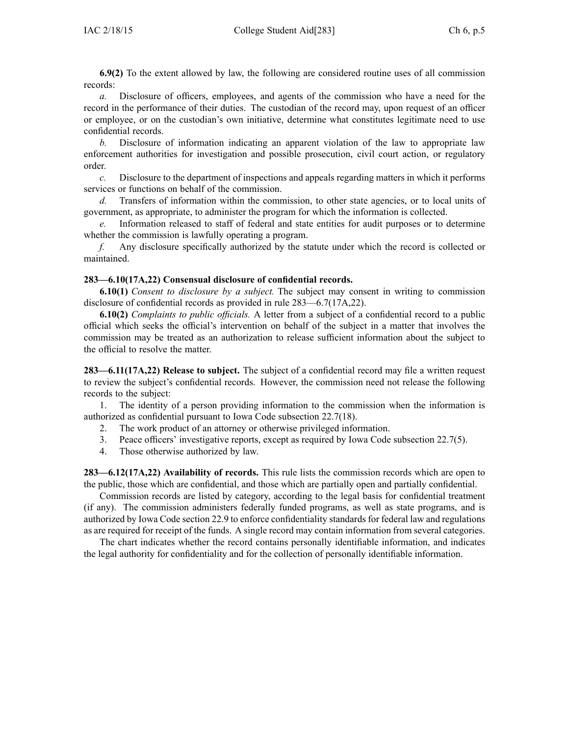**6.9(2)** To the extent allowed by law, the following are considered routine uses of all commission records:

*a.* Disclosure of officers, employees, and agents of the commission who have <sup>a</sup> need for the record in the performance of their duties. The custodian of the record may, upon reques<sup>t</sup> of an officer or employee, or on the custodian's own initiative, determine what constitutes legitimate need to use confidential records.

*b.* Disclosure of information indicating an apparen<sup>t</sup> violation of the law to appropriate law enforcement authorities for investigation and possible prosecution, civil court action, or regulatory order.

*c.* Disclosure to the department of inspections and appeals regarding matters in which it performs services or functions on behalf of the commission.

*d.* Transfers of information within the commission, to other state agencies, or to local units of government, as appropriate, to administer the program for which the information is collected.

*e.* Information released to staff of federal and state entities for audit purposes or to determine whether the commission is lawfully operating <sup>a</sup> program.

*f.* Any disclosure specifically authorized by the statute under which the record is collected or maintained.

## **283—6.10(17A,22) Consensual disclosure of confidential records.**

**6.10(1)** *Consent to disclosure by <sup>a</sup> subject.* The subject may consent in writing to commission disclosure of confidential records as provided in rule 283—6.7(17A,22).

**6.10(2)** *Complaints to public officials.* A letter from <sup>a</sup> subject of <sup>a</sup> confidential record to <sup>a</sup> public official which seeks the official's intervention on behalf of the subject in <sup>a</sup> matter that involves the commission may be treated as an authorization to release sufficient information about the subject to the official to resolve the matter.

**283—6.11(17A,22) Release to subject.** The subject of <sup>a</sup> confidential record may file <sup>a</sup> written reques<sup>t</sup> to review the subject's confidential records. However, the commission need not release the following records to the subject:

1. The identity of <sup>a</sup> person providing information to the commission when the information is authorized as confidential pursuan<sup>t</sup> to Iowa Code subsection [22.7\(18\)](https://www.legis.iowa.gov/docs/ico/section/22.7.pdf).

- 2. The work product of an attorney or otherwise privileged information.
- 3. Peace officers' investigative reports, excep<sup>t</sup> as required by Iowa Code subsection [22.7\(5\)](https://www.legis.iowa.gov/docs/ico/section/22.7.pdf).
- 4. Those otherwise authorized by law.

**283—6.12(17A,22) Availability of records.** This rule lists the commission records which are open to the public, those which are confidential, and those which are partially open and partially confidential.

Commission records are listed by category, according to the legal basis for confidential treatment (if any). The commission administers federally funded programs, as well as state programs, and is authorized by Iowa Code section [22.9](https://www.legis.iowa.gov/docs/ico/section/22.9.pdf) to enforce confidentiality standards for federal law and regulations as are required for receipt of the funds. A single record may contain information from several categories.

The chart indicates whether the record contains personally identifiable information, and indicates the legal authority for confidentiality and for the collection of personally identifiable information.